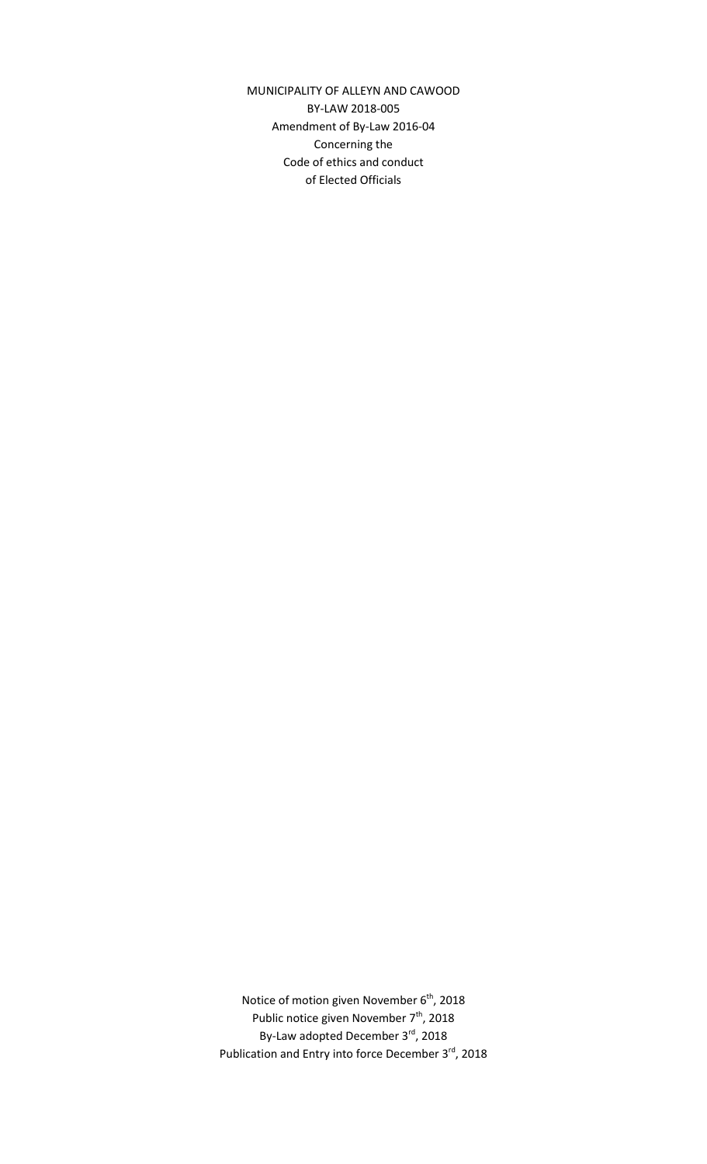MUNICIPALITY OF ALLEYN AND CAWOOD BY-LAW 2018-005 Amendment of By-Law 2016-04 Concerning the Code of ethics and conduct of Elected Officials

Notice of motion given November 6<sup>th</sup>, 2018 Public notice given November 7<sup>th</sup>, 2018 By-Law adopted December 3rd, 2018 Publication and Entry into force December 3rd, 2018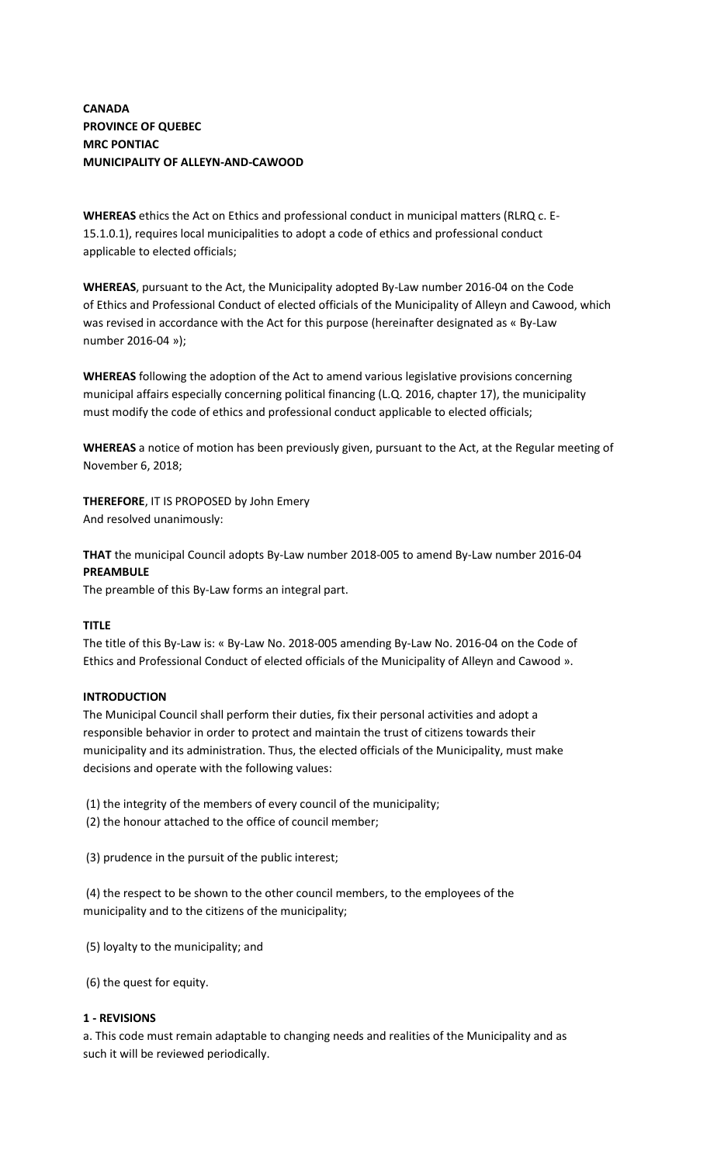# **CANADA PROVINCE OF QUEBEC MRC PONTIAC MUNICIPALITY OF ALLEYN-AND-CAWOOD**

**WHEREAS** ethics the Act on Ethics and professional conduct in municipal matters (RLRQ c. E-15.1.0.1), requires local municipalities to adopt a code of ethics and professional conduct applicable to elected officials;

**WHEREAS**, pursuant to the Act, the Municipality adopted By-Law number 2016-04 on the Code of Ethics and Professional Conduct of elected officials of the Municipality of Alleyn and Cawood, which was revised in accordance with the Act for this purpose (hereinafter designated as « By-Law number 2016-04 »);

**WHEREAS** following the adoption of the Act to amend various legislative provisions concerning municipal affairs especially concerning political financing (L.Q. 2016, chapter 17), the municipality must modify the code of ethics and professional conduct applicable to elected officials;

**WHEREAS** a notice of motion has been previously given, pursuant to the Act, at the Regular meeting of November 6, 2018;

**THEREFORE**, IT IS PROPOSED by John Emery And resolved unanimously:

**THAT** the municipal Council adopts By-Law number 2018-005 to amend By-Law number 2016-04 **PREAMBULE**

The preamble of this By-Law forms an integral part.

# **TITLE**

The title of this By-Law is: « By-Law No. 2018-005 amending By-Law No. 2016-04 on the Code of Ethics and Professional Conduct of elected officials of the Municipality of Alleyn and Cawood ».

#### **INTRODUCTION**

The Municipal Council shall perform their duties, fix their personal activities and adopt a responsible behavior in order to protect and maintain the trust of citizens towards their municipality and its administration. Thus, the elected officials of the Municipality, must make decisions and operate with the following values:

(1) the integrity of the members of every council of the municipality;

(2) the honour attached to the office of council member;

(3) prudence in the pursuit of the public interest;

(4) the respect to be shown to the other council members, to the employees of the municipality and to the citizens of the municipality;

(5) loyalty to the municipality; and

(6) the quest for equity.

# **1 - REVISIONS**

a. This code must remain adaptable to changing needs and realities of the Municipality and as such it will be reviewed periodically.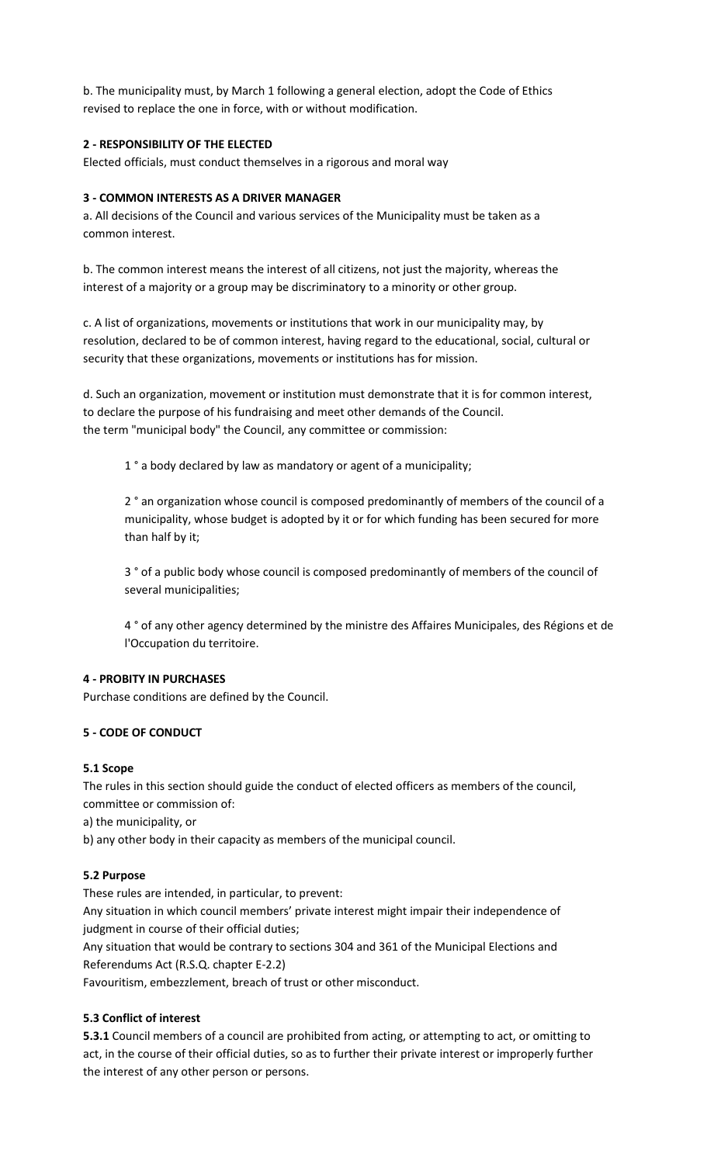b. The municipality must, by March 1 following a general election, adopt the Code of Ethics revised to replace the one in force, with or without modification.

# **2 - RESPONSIBILITY OF THE ELECTED**

Elected officials, must conduct themselves in a rigorous and moral way

### **3 - COMMON INTERESTS AS A DRIVER MANAGER**

a. All decisions of the Council and various services of the Municipality must be taken as a common interest.

b. The common interest means the interest of all citizens, not just the majority, whereas the interest of a majority or a group may be discriminatory to a minority or other group.

c. A list of organizations, movements or institutions that work in our municipality may, by resolution, declared to be of common interest, having regard to the educational, social, cultural or security that these organizations, movements or institutions has for mission.

d. Such an organization, movement or institution must demonstrate that it is for common interest, to declare the purpose of his fundraising and meet other demands of the Council. the term "municipal body" the Council, any committee or commission:

1° a body declared by law as mandatory or agent of a municipality;

2 ° an organization whose council is composed predominantly of members of the council of a municipality, whose budget is adopted by it or for which funding has been secured for more than half by it;

3 ° of a public body whose council is composed predominantly of members of the council of several municipalities;

4 ° of any other agency determined by the ministre des Affaires Municipales, des Régions et de l'Occupation du territoire.

#### **4 - PROBITY IN PURCHASES**

Purchase conditions are defined by the Council.

#### **5 - CODE OF CONDUCT**

#### **5.1 Scope**

The rules in this section should guide the conduct of elected officers as members of the council, committee or commission of:

a) the municipality, or

b) any other body in their capacity as members of the municipal council.

# **5.2 Purpose**

These rules are intended, in particular, to prevent:

Any situation in which council members' private interest might impair their independence of judgment in course of their official duties;

Any situation that would be contrary to sections 304 and 361 of the Municipal Elections and Referendums Act (R.S.Q. chapter E-2.2)

Favouritism, embezzlement, breach of trust or other misconduct.

# **5.3 Conflict of interest**

**5.3.1** Council members of a council are prohibited from acting, or attempting to act, or omitting to act, in the course of their official duties, so as to further their private interest or improperly further the interest of any other person or persons.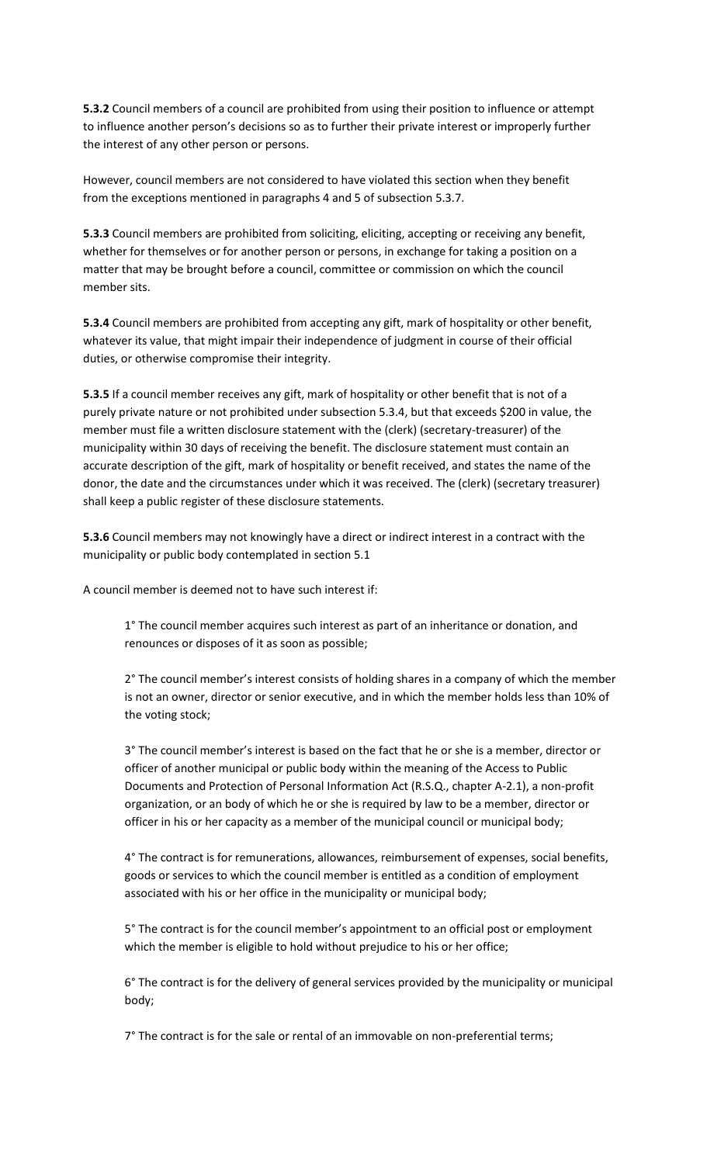**5.3.2** Council members of a council are prohibited from using their position to influence or attempt to influence another person's decisions so as to further their private interest or improperly further the interest of any other person or persons.

However, council members are not considered to have violated this section when they benefit from the exceptions mentioned in paragraphs 4 and 5 of subsection 5.3.7.

**5.3.3** Council members are prohibited from soliciting, eliciting, accepting or receiving any benefit, whether for themselves or for another person or persons, in exchange for taking a position on a matter that may be brought before a council, committee or commission on which the council member sits.

**5.3.4** Council members are prohibited from accepting any gift, mark of hospitality or other benefit, whatever its value, that might impair their independence of judgment in course of their official duties, or otherwise compromise their integrity.

**5.3.5** If a council member receives any gift, mark of hospitality or other benefit that is not of a purely private nature or not prohibited under subsection 5.3.4, but that exceeds \$200 in value, the member must file a written disclosure statement with the (clerk) (secretary-treasurer) of the municipality within 30 days of receiving the benefit. The disclosure statement must contain an accurate description of the gift, mark of hospitality or benefit received, and states the name of the donor, the date and the circumstances under which it was received. The (clerk) (secretary treasurer) shall keep a public register of these disclosure statements.

**5.3.6** Council members may not knowingly have a direct or indirect interest in a contract with the municipality or public body contemplated in section 5.1

A council member is deemed not to have such interest if:

1° The council member acquires such interest as part of an inheritance or donation, and renounces or disposes of it as soon as possible;

2° The council member's interest consists of holding shares in a company of which the member is not an owner, director or senior executive, and in which the member holds less than 10% of the voting stock;

3° The council member's interest is based on the fact that he or she is a member, director or officer of another municipal or public body within the meaning of the Access to Public Documents and Protection of Personal Information Act (R.S.Q., chapter A-2.1), a non-profit organization, or an body of which he or she is required by law to be a member, director or officer in his or her capacity as a member of the municipal council or municipal body;

4° The contract is for remunerations, allowances, reimbursement of expenses, social benefits, goods or services to which the council member is entitled as a condition of employment associated with his or her office in the municipality or municipal body;

5° The contract is for the council member's appointment to an official post or employment which the member is eligible to hold without prejudice to his or her office;

6° The contract is for the delivery of general services provided by the municipality or municipal body;

7° The contract is for the sale or rental of an immovable on non-preferential terms;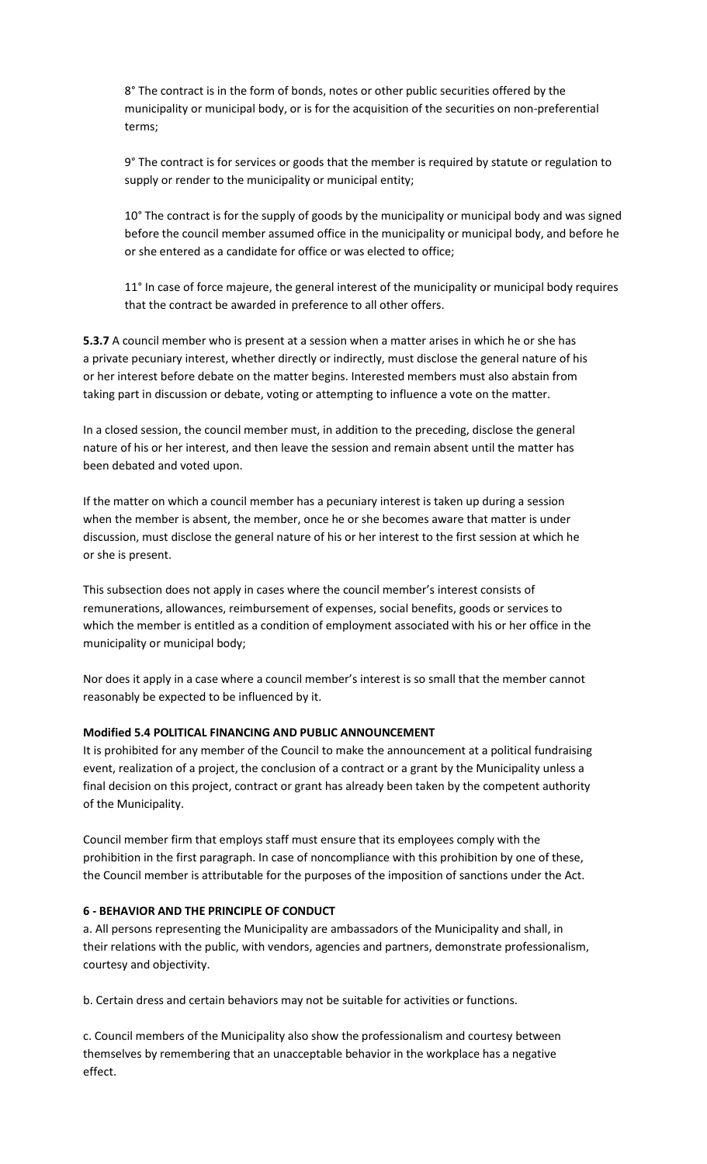8° The contract is in the form of bonds, notes or other public securities offered by the municipality or municipal body, or is for the acquisition of the securities on non-preferential terms;

9° The contract is for services or goods that the member is required by statute or regulation to supply or render to the municipality or municipal entity;

10° The contract is for the supply of goods by the municipality or municipal body and was signed before the council member assumed office in the municipality or municipal body, and before he or she entered as a candidate for office or was elected to office;

11° In case of force majeure, the general interest of the municipality or municipal body requires that the contract be awarded in preference to all other offers.

**5.3.7** A council member who is present at a session when a matter arises in which he or she has a private pecuniary interest, whether directly or indirectly, must disclose the general nature of his or her interest before debate on the matter begins. Interested members must also abstain from taking part in discussion or debate, voting or attempting to influence a vote on the matter.

In a closed session, the council member must, in addition to the preceding, disclose the general nature of his or her interest, and then leave the session and remain absent until the matter has been debated and voted upon.

If the matter on which a council member has a pecuniary interest is taken up during a session when the member is absent, the member, once he or she becomes aware that matter is under discussion, must disclose the general nature of his or her interest to the first session at which he or she is present.

This subsection does not apply in cases where the council member's interest consists of remunerations, allowances, reimbursement of expenses, social benefits, goods or services to which the member is entitled as a condition of employment associated with his or her office in the municipality or municipal body;

Nor does it apply in a case where a council member's interest is so small that the member cannot reasonably be expected to be influenced by it.

# **Modified 5.4 POLITICAL FINANCING AND PUBLIC ANNOUNCEMENT**

It is prohibited for any member of the Council to make the announcement at a political fundraising event, realization of a project, the conclusion of a contract or a grant by the Municipality unless a final decision on this project, contract or grant has already been taken by the competent authority of the Municipality.

Council member firm that employs staff must ensure that its employees comply with the prohibition in the first paragraph. In case of noncompliance with this prohibition by one of these, the Council member is attributable for the purposes of the imposition of sanctions under the Act.

#### **6 - BEHAVIOR AND THE PRINCIPLE OF CONDUCT**

a. All persons representing the Municipality are ambassadors of the Municipality and shall, in their relations with the public, with vendors, agencies and partners, demonstrate professionalism, courtesy and objectivity.

b. Certain dress and certain behaviors may not be suitable for activities or functions.

c. Council members of the Municipality also show the professionalism and courtesy between themselves by remembering that an unacceptable behavior in the workplace has a negative effect.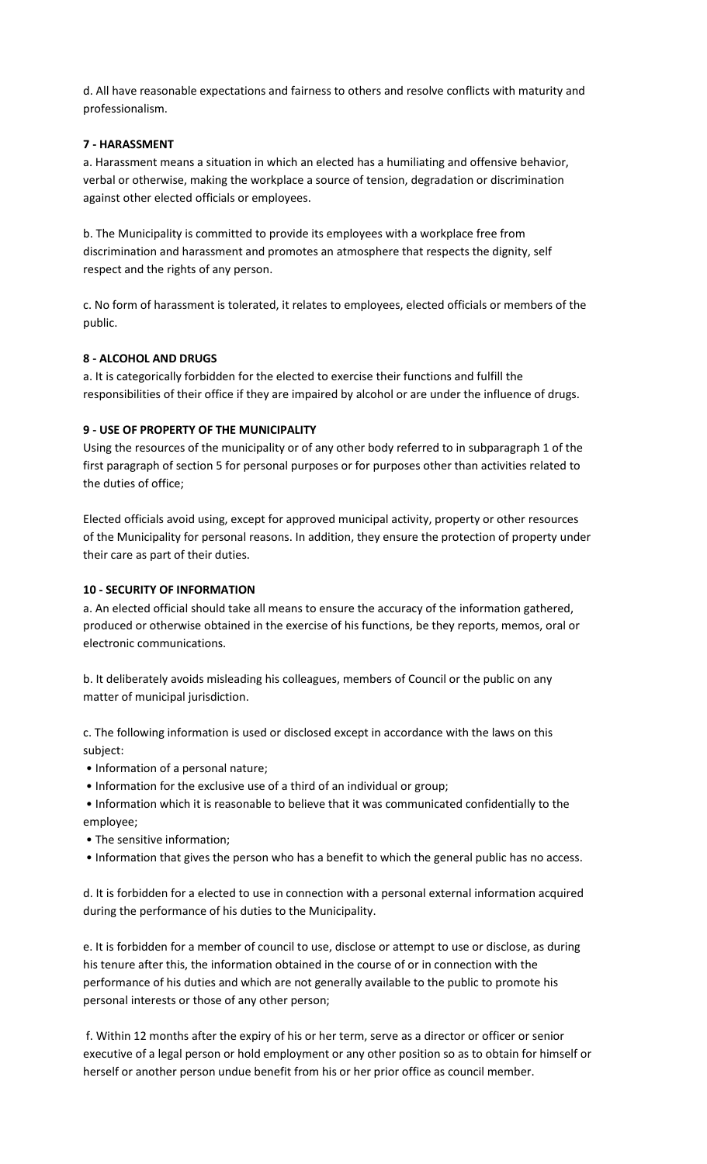d. All have reasonable expectations and fairness to others and resolve conflicts with maturity and professionalism.

### **7 - HARASSMENT**

a. Harassment means a situation in which an elected has a humiliating and offensive behavior, verbal or otherwise, making the workplace a source of tension, degradation or discrimination against other elected officials or employees.

b. The Municipality is committed to provide its employees with a workplace free from discrimination and harassment and promotes an atmosphere that respects the dignity, self respect and the rights of any person.

c. No form of harassment is tolerated, it relates to employees, elected officials or members of the public.

# **8 - ALCOHOL AND DRUGS**

a. It is categorically forbidden for the elected to exercise their functions and fulfill the responsibilities of their office if they are impaired by alcohol or are under the influence of drugs.

### **9 - USE OF PROPERTY OF THE MUNICIPALITY**

Using the resources of the municipality or of any other body referred to in subparagraph 1 of the first paragraph of section 5 for personal purposes or for purposes other than activities related to the duties of office;

Elected officials avoid using, except for approved municipal activity, property or other resources of the Municipality for personal reasons. In addition, they ensure the protection of property under their care as part of their duties.

### **10 - SECURITY OF INFORMATION**

a. An elected official should take all means to ensure the accuracy of the information gathered, produced or otherwise obtained in the exercise of his functions, be they reports, memos, oral or electronic communications.

b. It deliberately avoids misleading his colleagues, members of Council or the public on any matter of municipal jurisdiction.

c. The following information is used or disclosed except in accordance with the laws on this subject:

- Information of a personal nature;
- Information for the exclusive use of a third of an individual or group;
- Information which it is reasonable to believe that it was communicated confidentially to the employee;
- The sensitive information;
- Information that gives the person who has a benefit to which the general public has no access.

d. It is forbidden for a elected to use in connection with a personal external information acquired during the performance of his duties to the Municipality.

e. It is forbidden for a member of council to use, disclose or attempt to use or disclose, as during his tenure after this, the information obtained in the course of or in connection with the performance of his duties and which are not generally available to the public to promote his personal interests or those of any other person;

f. Within 12 months after the expiry of his or her term, serve as a director or officer or senior executive of a legal person or hold employment or any other position so as to obtain for himself or herself or another person undue benefit from his or her prior office as council member.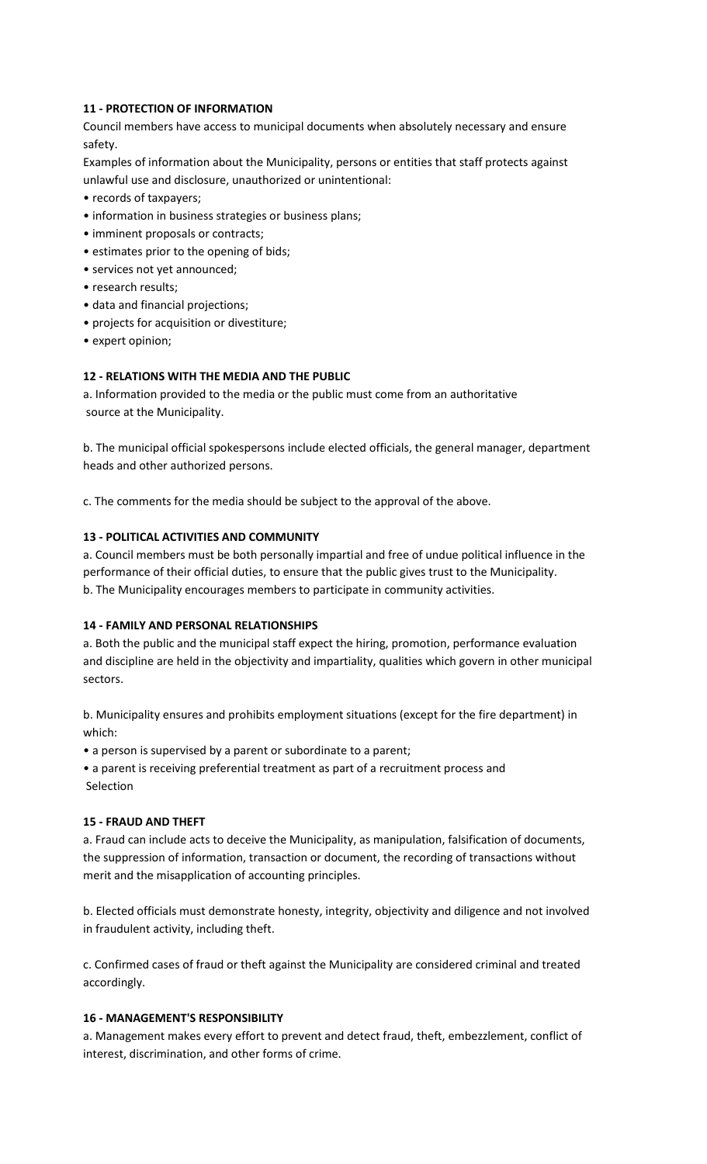### **11 - PROTECTION OF INFORMATION**

Council members have access to municipal documents when absolutely necessary and ensure safety.

Examples of information about the Municipality, persons or entities that staff protects against unlawful use and disclosure, unauthorized or unintentional:

- records of taxpayers;
- information in business strategies or business plans;
- imminent proposals or contracts;
- estimates prior to the opening of bids;
- services not yet announced;
- research results;
- data and financial projections;
- projects for acquisition or divestiture;
- expert opinion;

### **12 - RELATIONS WITH THE MEDIA AND THE PUBLIC**

a. Information provided to the media or the public must come from an authoritative source at the Municipality.

b. The municipal official spokespersons include elected officials, the general manager, department heads and other authorized persons.

c. The comments for the media should be subject to the approval of the above.

### **13 - POLITICAL ACTIVITIES AND COMMUNITY**

a. Council members must be both personally impartial and free of undue political influence in the performance of their official duties, to ensure that the public gives trust to the Municipality. b. The Municipality encourages members to participate in community activities.

#### **14 - FAMILY AND PERSONAL RELATIONSHIPS**

a. Both the public and the municipal staff expect the hiring, promotion, performance evaluation and discipline are held in the objectivity and impartiality, qualities which govern in other municipal sectors.

b. Municipality ensures and prohibits employment situations (except for the fire department) in which:

• a person is supervised by a parent or subordinate to a parent;

• a parent is receiving preferential treatment as part of a recruitment process and Selection

#### **15 - FRAUD AND THEFT**

a. Fraud can include acts to deceive the Municipality, as manipulation, falsification of documents, the suppression of information, transaction or document, the recording of transactions without merit and the misapplication of accounting principles.

b. Elected officials must demonstrate honesty, integrity, objectivity and diligence and not involved in fraudulent activity, including theft.

c. Confirmed cases of fraud or theft against the Municipality are considered criminal and treated accordingly.

#### **16 - MANAGEMENT'S RESPONSIBILITY**

a. Management makes every effort to prevent and detect fraud, theft, embezzlement, conflict of interest, discrimination, and other forms of crime.